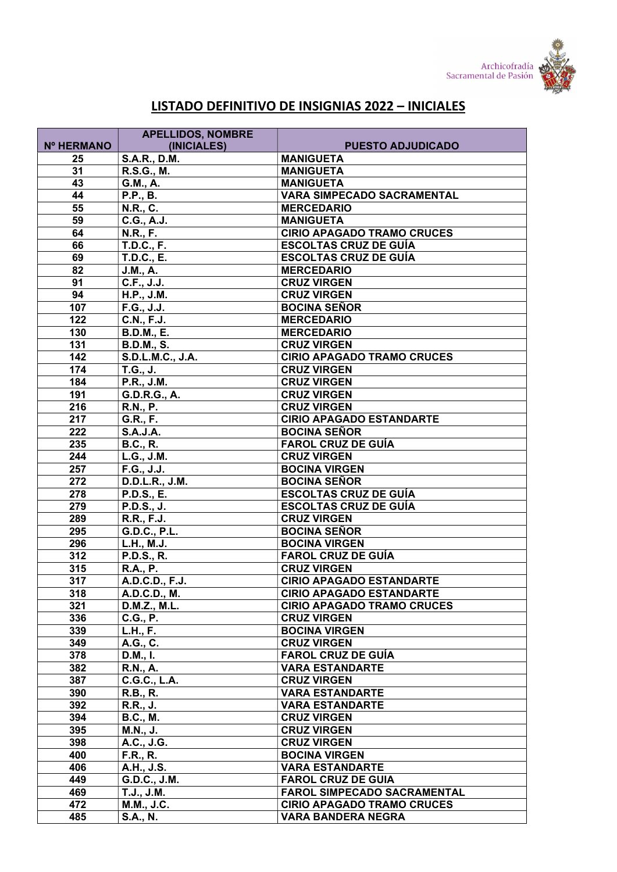

## LISTADO DEFINITIVO DE INSIGNIAS 2022 – INICIALES

|            | <b>APELLIDOS, NOMBRE</b>        |                                    |
|------------|---------------------------------|------------------------------------|
| Nº HERMANO | (INICIALES)                     | <b>PUESTO ADJUDICADO</b>           |
| 25         | <b>S.A.R., D.M.</b>             | <b>MANIGUETA</b>                   |
| 31         | R.S.G., M.                      | <b>MANIGUETA</b>                   |
| 43         | G.M., A.                        | <b>MANIGUETA</b>                   |
| 44         | <b>P.P., B.</b>                 | <b>VARA SIMPECADO SACRAMENTAL</b>  |
| 55         | N.R., C.                        | <b>MERCEDARIO</b>                  |
| 59         | C.G., A.J.                      | <b>MANIGUETA</b>                   |
| 64         | $\overline{\mathsf{N}}$ .R., F. | <b>CIRIO APAGADO TRAMO CRUCES</b>  |
| 66         | <b>T.D.C., F.</b>               | <b>ESCOLTAS CRUZ DE GUÍA</b>       |
| 69         | <b>T.D.C., E.</b>               | <b>ESCOLTAS CRUZ DE GUÍA</b>       |
| 82         | J.M., A.                        | <b>MERCEDARIO</b>                  |
| 91         | C.F., J.J.                      | <b>CRUZ VIRGEN</b>                 |
| 94         | H.P., J.M.                      | <b>CRUZ VIRGEN</b>                 |
| 107        | F.G., J.J.                      | <b>BOCINA SEÑOR</b>                |
| 122        | C.N., F.J.                      | <b>MERCEDARIO</b>                  |
| 130        | <b>B.D.M., E.</b>               | <b>MERCEDARIO</b>                  |
| 131        | <b>B.D.M., S.</b>               | <b>CRUZ VIRGEN</b>                 |
| 142        | S.D.L.M.C., J.A.                | <b>CIRIO APAGADO TRAMO CRUCES</b>  |
| 174        | T.G., J.                        | <b>CRUZ VIRGEN</b>                 |
| 184        | P.R., J.M.                      | <b>CRUZ VIRGEN</b>                 |
| 191        | G.D.R.G., A.                    | <b>CRUZ VIRGEN</b>                 |
| 216        | <b>R.N., P.</b>                 | <b>CRUZ VIRGEN</b>                 |
| 217        | G.R., F.                        | <b>CIRIO APAGADO ESTANDARTE</b>    |
| 222        | <b>S.A.J.A.</b>                 | <b>BOCINA SEÑOR</b>                |
| 235        | <b>B.C., R.</b>                 | <b>FAROL CRUZ DE GUÍA</b>          |
| 244        | L.G., J.M.                      | <b>CRUZ VIRGEN</b>                 |
| 257        | F.G., J.J.                      | <b>BOCINA VIRGEN</b>               |
| 272        | D.D.L.R., J.M.                  | <b>BOCINA SEÑOR</b>                |
| 278        | <b>P.D.S., E.</b>               | <b>ESCOLTAS CRUZ DE GUÍA</b>       |
| 279        | P.D.S., J.                      | <b>ESCOLTAS CRUZ DE GUÍA</b>       |
| 289        | R.R., F.J.                      | <b>CRUZ VIRGEN</b>                 |
| 295        | G.D.C., P.L.                    | <b>BOCINA SEÑOR</b>                |
| 296        | L.H., M.J.                      | <b>BOCINA VIRGEN</b>               |
| 312        | P.D.S., R.                      | <b>FAROL CRUZ DE GUÍA</b>          |
| 315        | <b>R.A., P.</b>                 | <b>CRUZ VIRGEN</b>                 |
| 317        | A.D.C.D., F.J.                  | <b>CIRIO APAGADO ESTANDARTE</b>    |
| 318        | A.D.C.D., M.                    | <b>CIRIO APAGADO ESTANDARTE</b>    |
| 321        | D.M.Z., M.L.                    | <b>CIRIO APAGADO TRAMO CRUCES</b>  |
| 336        | C.G., P.                        | <b>CRUZ VIRGEN</b>                 |
| 339        | L.H., F.                        | <b>BOCINA VIRGEN</b>               |
| 349        | A.G., C.                        | <b>CRUZ VIRGEN</b>                 |
| 378        | D.M., I.                        | <b>FAROL CRUZ DE GUÍA</b>          |
| 382        | <b>R.N., A.</b>                 | <b>VARA ESTANDARTE</b>             |
| 387        | <b>C.G.C., L.A.</b>             | <b>CRUZ VIRGEN</b>                 |
| 390        | <b>R.B., R.</b>                 | <b>VARA ESTANDARTE</b>             |
| 392        | <b>R.R., J.</b>                 | <b>VARA ESTANDARTE</b>             |
| 394        | <b>B.C., M.</b>                 | <b>CRUZ VIRGEN</b>                 |
| 395        | <b>M.N., J.</b>                 | <b>CRUZ VIRGEN</b>                 |
| 398        | A.C., J.G.                      | <b>CRUZ VIRGEN</b>                 |
| 400        | <b>F.R., R.</b>                 | <b>BOCINA VIRGEN</b>               |
| 406        | A.H., J.S.                      | <b>VARA ESTANDARTE</b>             |
| 449        | G.D.C., J.M.                    | <b>FAROL CRUZ DE GUIA</b>          |
| 469        | T.J., J.M.                      | <b>FAROL SIMPECADO SACRAMENTAL</b> |
| 472        | M.M., J.C.                      | <b>CIRIO APAGADO TRAMO CRUCES</b>  |
| 485        | <b>S.A., N.</b>                 | <b>VARA BANDERA NEGRA</b>          |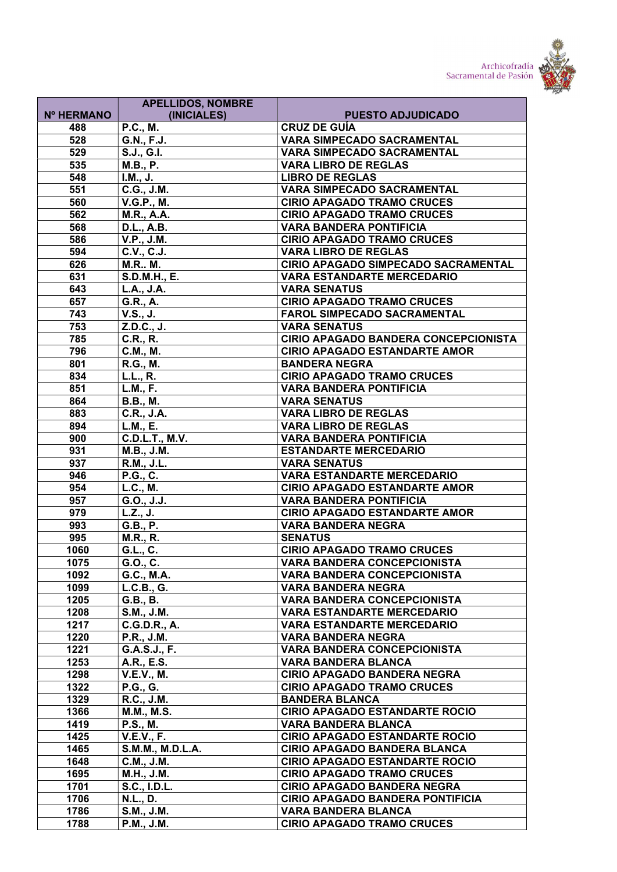



|              | <b>APELLIDOS, NOMBRE</b>      |                                                                        |
|--------------|-------------------------------|------------------------------------------------------------------------|
| Nº HERMANO   | (INICIALES)                   | <b>PUESTO ADJUDICADO</b>                                               |
| 488          | <b>P.C., M.</b>               | <b>CRUZ DE GUÍA</b>                                                    |
| 528          | G.N., F.J.                    | <b>VARA SIMPECADO SACRAMENTAL</b><br><b>VARA SIMPECADO SACRAMENTAL</b> |
| 529<br>535   | S.J., G.I.<br><b>M.B., P.</b> | <b>VARA LIBRO DE REGLAS</b>                                            |
| 548          |                               | <b>LIBRO DE REGLAS</b>                                                 |
| 551          | I.M., J.<br>C.G., J.M.        | <b>VARA SIMPECADO SACRAMENTAL</b>                                      |
| 560          | <b>V.G.P., M.</b>             | <b>CIRIO APAGADO TRAMO CRUCES</b>                                      |
| 562          | M.R., A.A.                    | <b>CIRIO APAGADO TRAMO CRUCES</b>                                      |
| 568          | <b>D.L., A.B.</b>             | <b>VARA BANDERA PONTIFICIA</b>                                         |
| 586          | V.P., J.M.                    | <b>CIRIO APAGADO TRAMO CRUCES</b>                                      |
| 594          | C.V., C.J.                    | <b>VARA LIBRO DE REGLAS</b>                                            |
| 626          | <b>M.R., M.</b>               | CIRIO APAGADO SIMPECADO SACRAMENTAL                                    |
| 631          | S.D.M.H., E.                  | <b>VARA ESTANDARTE MERCEDARIO</b>                                      |
| 643          | L.A., J.A.                    | <b>VARA SENATUS</b>                                                    |
| 657          | G.R., A.                      | <b>CIRIO APAGADO TRAMO CRUCES</b>                                      |
| 743          | V.S., J.                      | <b>FAROL SIMPECADO SACRAMENTAL</b>                                     |
| 753          | Z.D.C., J.                    | <b>VARA SENATUS</b>                                                    |
| 785          | C.R., R.                      | CIRIO APAGADO BANDERA CONCEPCIONISTA                                   |
| 796          | C.M., M.                      | <b>CIRIO APAGADO ESTANDARTE AMOR</b>                                   |
| 801          | R.G., M.                      | <b>BANDERA NEGRA</b>                                                   |
| 834          | <b>L.L., R.</b>               | <b>CIRIO APAGADO TRAMO CRUCES</b>                                      |
| 851          | <b>L.M., F.</b>               | <b>VARA BANDERA PONTIFICIA</b>                                         |
| 864          | <b>B.B., M.</b>               | <b>VARA SENATUS</b>                                                    |
| 883          | C.R., J.A.                    | <b>VARA LIBRO DE REGLAS</b>                                            |
| 894          | L.M., E.                      | <b>VARA LIBRO DE REGLAS</b>                                            |
| 900          | <b>C.D.L.T., M.V.</b>         | <b>VARA BANDERA PONTIFICIA</b>                                         |
| 931          | M.B., J.M.                    | <b>ESTANDARTE MERCEDARIO</b>                                           |
| 937          | R.M., J.L.                    | <b>VARA SENATUS</b>                                                    |
| 946          | <b>P.G., C.</b>               | <b>VARA ESTANDARTE MERCEDARIO</b>                                      |
| 954          | L.C., M.                      | <b>CIRIO APAGADO ESTANDARTE AMOR</b>                                   |
| 957          | G.O., J.J.                    | <b>VARA BANDERA PONTIFICIA</b>                                         |
| 979          | L.Z., J.                      | <b>CIRIO APAGADO ESTANDARTE AMOR</b>                                   |
| 993          | G.B., P.                      | <b>VARA BANDERA NEGRA</b>                                              |
| 995          | <b>M.R., R.</b>               | <b>SENATUS</b>                                                         |
| 1060         | G.L., C.                      | <b>CIRIO APAGADO TRAMO CRUCES</b>                                      |
| 1075         | G.O., C.                      | VARA BANDERA CONCEPCIONISTA                                            |
| 1092         | G.C., M.A.                    | <b>VARA BANDERA CONCEPCIONISTA</b>                                     |
| 1099         | L.C.B., G.                    | <b>VARA BANDERA NEGRA</b>                                              |
| 1205         | G.B., B.                      | <b>VARA BANDERA CONCEPCIONISTA</b>                                     |
| 1208<br>1217 | S.M., J.M.                    | <b>VARA ESTANDARTE MERCEDARIO</b>                                      |
| 1220         | C.G.D.R., A.                  | <b>VARA ESTANDARTE MERCEDARIO</b><br><b>VARA BANDERA NEGRA</b>         |
| 1221         | P.R., J.M.<br>G.A.S.J., F.    | VARA BANDERA CONCEPCIONISTA                                            |
| 1253         | A.R., E.S.                    | <b>VARA BANDERA BLANCA</b>                                             |
| 1298         | <b>V.E.V., M.</b>             | <b>CIRIO APAGADO BANDERA NEGRA</b>                                     |
| 1322         | <b>P.G., G.</b>               | <b>CIRIO APAGADO TRAMO CRUCES</b>                                      |
| 1329         | R.C., J.M.                    | <b>BANDERA BLANCA</b>                                                  |
| 1366         | <b>M.M., M.S.</b>             | <b>CIRIO APAGADO ESTANDARTE ROCIO</b>                                  |
| 1419         | <b>P.S., M.</b>               | <b>VARA BANDERA BLANCA</b>                                             |
| 1425         | <b>V.E.V., F.</b>             | <b>CIRIO APAGADO ESTANDARTE ROCIO</b>                                  |
| 1465         | S.M.M., M.D.L.A.              | <b>CIRIO APAGADO BANDERA BLANCA</b>                                    |
| 1648         | C.M., J.M.                    | <b>CIRIO APAGADO ESTANDARTE ROCIO</b>                                  |
| 1695         | <b>M.H., J.M.</b>             | <b>CIRIO APAGADO TRAMO CRUCES</b>                                      |
| 1701         | S.C., I.D.L.                  | <b>CIRIO APAGADO BANDERA NEGRA</b>                                     |
| 1706         | N.L., D.                      | <b>CIRIO APAGADO BANDERA PONTIFICIA</b>                                |
| 1786         | S.M., J.M.                    | <b>VARA BANDERA BLANCA</b>                                             |
| 1788         | P.M., J.M.                    | <b>CIRIO APAGADO TRAMO CRUCES</b>                                      |